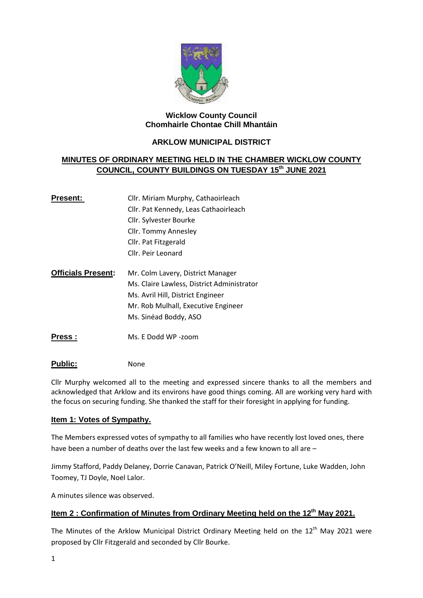

## **Wicklow County Council Chomhairle Chontae Chill Mhantáin**

# **ARKLOW MUNICIPAL DISTRICT**

# **MINUTES OF ORDINARY MEETING HELD IN THE CHAMBER WICKLOW COUNTY COUNCIL, COUNTY BUILDINGS ON TUESDAY 15th JUNE 2021**

| Present:                  | Cllr. Miriam Murphy, Cathaoirleach<br>Cllr. Pat Kennedy, Leas Cathaoirleach |  |
|---------------------------|-----------------------------------------------------------------------------|--|
|                           |                                                                             |  |
|                           | Cllr. Sylvester Bourke                                                      |  |
|                           | Cllr. Tommy Annesley                                                        |  |
|                           | Cllr. Pat Fitzgerald                                                        |  |
|                           | Cllr. Peir Leonard                                                          |  |
|                           |                                                                             |  |
| <b>Officials Present:</b> | Mr. Colm Lavery, District Manager                                           |  |
|                           | Ms. Claire Lawless, District Administrator                                  |  |
|                           | Ms. Avril Hill, District Engineer                                           |  |
|                           | Mr. Rob Mulhall, Executive Engineer                                         |  |
|                           | Ms. Sinéad Boddy, ASO                                                       |  |

**Press :** Ms. E Dodd WP -zoom

## Public: None

Cllr Murphy welcomed all to the meeting and expressed sincere thanks to all the members and acknowledged that Arklow and its environs have good things coming. All are working very hard with the focus on securing funding. She thanked the staff for their foresight in applying for funding.

## **Item 1: Votes of Sympathy.**

The Members expressed votes of sympathy to all families who have recently lost loved ones, there have been a number of deaths over the last few weeks and a few known to all are –

Jimmy Stafford, Paddy Delaney, Dorrie Canavan, Patrick O'Neill, Miley Fortune, Luke Wadden, John Toomey, TJ Doyle, Noel Lalor.

A minutes silence was observed.

# **Item 2 : Confirmation of Minutes from Ordinary Meeting held on the 12th May 2021.**

The Minutes of the Arklow Municipal District Ordinary Meeting held on the 12<sup>th</sup> May 2021 were proposed by Cllr Fitzgerald and seconded by Cllr Bourke.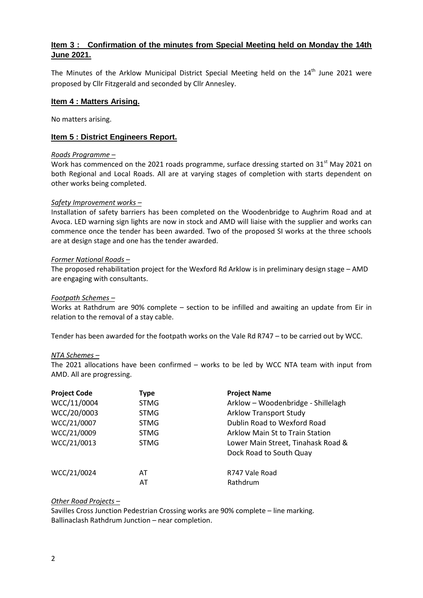# **Item 3 : Confirmation of the minutes from Special Meeting held on Monday the 14th June 2021.**

The Minutes of the Arklow Municipal District Special Meeting held on the  $14<sup>th</sup>$  June 2021 were proposed by Cllr Fitzgerald and seconded by Cllr Annesley.

## **Item 4 : Matters Arising.**

No matters arising.

## **Item 5 : District Engineers Report.**

#### *Roads Programme –*

Work has commenced on the 2021 roads programme, surface dressing started on 31<sup>st</sup> May 2021 on both Regional and Local Roads. All are at varying stages of completion with starts dependent on other works being completed.

## *Safety Improvement works –*

Installation of safety barriers has been completed on the Woodenbridge to Aughrim Road and at Avoca. LED warning sign lights are now in stock and AMD will liaise with the supplier and works can commence once the tender has been awarded. Two of the proposed SI works at the three schools are at design stage and one has the tender awarded.

#### *Former National Roads –*

The proposed rehabilitation project for the Wexford Rd Arklow is in preliminary design stage – AMD are engaging with consultants.

#### *Footpath Schemes –*

Works at Rathdrum are 90% complete – section to be infilled and awaiting an update from Eir in relation to the removal of a stay cable.

Tender has been awarded for the footpath works on the Vale Rd R747 – to be carried out by WCC.

## *NTA Schemes –*

The 2021 allocations have been confirmed – works to be led by WCC NTA team with input from AMD. All are progressing.

| <b>Project Code</b> | <b>Type</b> | <b>Project Name</b>                    |
|---------------------|-------------|----------------------------------------|
| WCC/11/0004         | <b>STMG</b> | Arklow - Woodenbridge - Shillelagh     |
| WCC/20/0003         | <b>STMG</b> | <b>Arklow Transport Study</b>          |
| WCC/21/0007         | <b>STMG</b> | Dublin Road to Wexford Road            |
| WCC/21/0009         | <b>STMG</b> | <b>Arklow Main St to Train Station</b> |
| WCC/21/0013         | <b>STMG</b> | Lower Main Street, Tinahask Road &     |
|                     |             | Dock Road to South Quay                |
| WCC/21/0024         | AT          | R747 Vale Road                         |
|                     | AT          | Rathdrum                               |

## *Other Road Projects –*

Savilles Cross Junction Pedestrian Crossing works are 90% complete – line marking. Ballinaclash Rathdrum Junction – near completion.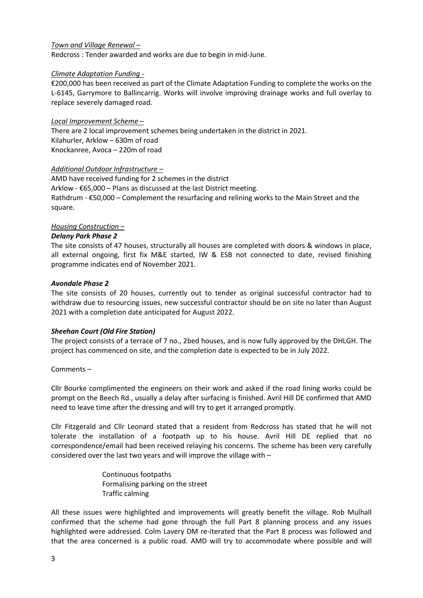## *Town and Village Renewal –*

Redcross : Tender awarded and works are due to begin in mid-June.

#### *Climate Adaptation Funding -*

€200,000 has been received as part of the Climate Adaptation Funding to complete the works on the L-6145, Garrymore to Ballincarrig. Works will involve improving drainage works and full overlay to replace severely damaged road.

#### *Local Improvement Scheme –*

There are 2 local improvement schemes being undertaken in the district in 2021. Kilahurler, Arklow – 630m of road Knockanree, Avoca – 220m of road

#### *Additional Outdoor Infrastructure –*

AMD have received funding for 2 schemes in the district Arklow - €65,000 – Plans as discussed at the last District meeting. Rathdrum - €50,000 – Complement the resurfacing and relining works to the Main Street and the square.

## *Housing Construction –*

#### *Delany Park Phase 2*

The site consists of 47 houses, structurally all houses are completed with doors & windows in place, all external ongoing, first fix M&E started, IW & ESB not connected to date, revised finishing programme indicates end of November 2021.

#### *Avondale Phase 2*

The site consists of 20 houses, currently out to tender as original successful contractor had to withdraw due to resourcing issues, new successful contractor should be on site no later than August 2021 with a completion date anticipated for August 2022.

## *Sheehan Court (Old Fire Station)*

The project consists of a terrace of 7 no., 2bed houses, and is now fully approved by the DHLGH. The project has commenced on site, and the completion date is expected to be in July 2022.

Comments –

Cllr Bourke complimented the engineers on their work and asked if the road lining works could be prompt on the Beech Rd., usually a delay after surfacing is finished. Avril Hill DE confirmed that AMD need to leave time after the dressing and will try to get it arranged promptly.

Cllr Fitzgerald and Cllr Leonard stated that a resident from Redcross has stated that he will not tolerate the installation of a footpath up to his house. Avril Hill DE replied that no correspondence/email had been received relaying his concerns. The scheme has been very carefully considered over the last two years and will improve the village with –

> Continuous footpaths Formalising parking on the street Traffic calming

All these issues were highlighted and improvements will greatly benefit the village. Rob Mulhall confirmed that the scheme had gone through the full Part 8 planning process and any issues highlighted were addressed. Colm Lavery DM re-iterated that the Part 8 process was followed and that the area concerned is a public road. AMD will try to accommodate where possible and will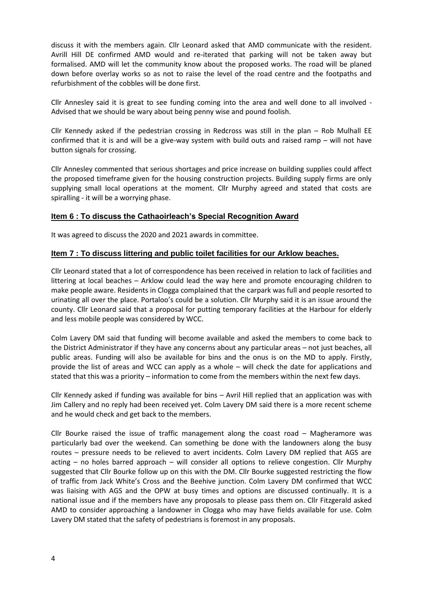discuss it with the members again. Cllr Leonard asked that AMD communicate with the resident. Avrill Hill DE confirmed AMD would and re-iterated that parking will not be taken away but formalised. AMD will let the community know about the proposed works. The road will be planed down before overlay works so as not to raise the level of the road centre and the footpaths and refurbishment of the cobbles will be done first.

Cllr Annesley said it is great to see funding coming into the area and well done to all involved - Advised that we should be wary about being penny wise and pound foolish.

Cllr Kennedy asked if the pedestrian crossing in Redcross was still in the plan – Rob Mulhall EE confirmed that it is and will be a give-way system with build outs and raised ramp – will not have button signals for crossing.

Cllr Annesley commented that serious shortages and price increase on building supplies could affect the proposed timeframe given for the housing construction projects. Building supply firms are only supplying small local operations at the moment. Cllr Murphy agreed and stated that costs are spiralling - it will be a worrying phase.

## **Item 6 : To discuss the Cathaoirleach's Special Recognition Award**

It was agreed to discuss the 2020 and 2021 awards in committee.

## **Item 7 : To discuss littering and public toilet facilities for our Arklow beaches.**

Cllr Leonard stated that a lot of correspondence has been received in relation to lack of facilities and littering at local beaches – Arklow could lead the way here and promote encouraging children to make people aware. Residents in Clogga complained that the carpark was full and people resorted to urinating all over the place. Portaloo's could be a solution. Cllr Murphy said it is an issue around the county. Cllr Leonard said that a proposal for putting temporary facilities at the Harbour for elderly and less mobile people was considered by WCC.

Colm Lavery DM said that funding will become available and asked the members to come back to the District Administrator if they have any concerns about any particular areas – not just beaches, all public areas. Funding will also be available for bins and the onus is on the MD to apply. Firstly, provide the list of areas and WCC can apply as a whole – will check the date for applications and stated that this was a priority – information to come from the members within the next few days.

Cllr Kennedy asked if funding was available for bins – Avril Hill replied that an application was with Jim Callery and no reply had been received yet. Colm Lavery DM said there is a more recent scheme and he would check and get back to the members.

Cllr Bourke raised the issue of traffic management along the coast road – Magheramore was particularly bad over the weekend. Can something be done with the landowners along the busy routes – pressure needs to be relieved to avert incidents. Colm Lavery DM replied that AGS are acting – no holes barred approach – will consider all options to relieve congestion. Cllr Murphy suggested that Cllr Bourke follow up on this with the DM. Cllr Bourke suggested restricting the flow of traffic from Jack White's Cross and the Beehive junction. Colm Lavery DM confirmed that WCC was liaising with AGS and the OPW at busy times and options are discussed continually. It is a national issue and if the members have any proposals to please pass them on. Cllr Fitzgerald asked AMD to consider approaching a landowner in Clogga who may have fields available for use. Colm Lavery DM stated that the safety of pedestrians is foremost in any proposals.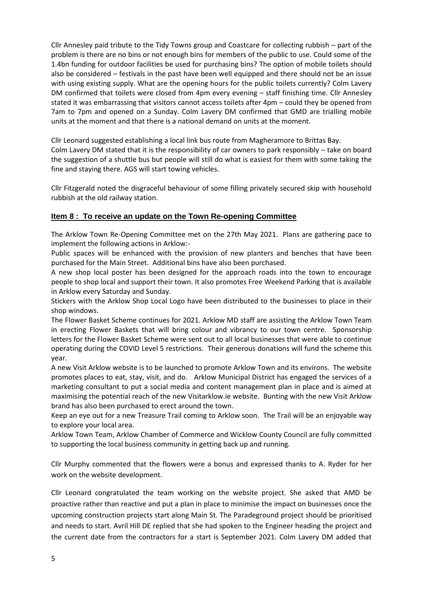Cllr Annesley paid tribute to the Tidy Towns group and Coastcare for collecting rubbish – part of the problem is there are no bins or not enough bins for members of the public to use. Could some of the 1.4bn funding for outdoor facilities be used for purchasing bins? The option of mobile toilets should also be considered – festivals in the past have been well equipped and there should not be an issue with using existing supply. What are the opening hours for the public toilets currently? Colm Lavery DM confirmed that toilets were closed from 4pm every evening – staff finishing time. Cllr Annesley stated it was embarrassing that visitors cannot access toilets after 4pm – could they be opened from 7am to 7pm and opened on a Sunday. Colm Lavery DM confirmed that GMD are trialling mobile units at the moment and that there is a national demand on units at the moment.

Cllr Leonard suggested establishing a local link bus route from Magheramore to Brittas Bay. Colm Lavery DM stated that it is the responsibility of car owners to park responsibly – take on board the suggestion of a shuttle bus but people will still do what is easiest for them with some taking the fine and staying there. AGS will start towing vehicles.

Cllr Fitzgerald noted the disgraceful behaviour of some filling privately secured skip with household rubbish at the old railway station.

# **Item 8 : To receive an update on the Town Re-opening Committee**

The Arklow Town Re-Opening Committee met on the 27th May 2021. Plans are gathering pace to implement the following actions in Arklow:-

Public spaces will be enhanced with the provision of new planters and benches that have been purchased for the Main Street. Additional bins have also been purchased.

A new shop local poster has been designed for the approach roads into the town to encourage people to shop local and support their town. It also promotes Free Weekend Parking that is available in Arklow every Saturday and Sunday.

Stickers with the Arklow Shop Local Logo have been distributed to the businesses to place in their shop windows.

The Flower Basket Scheme continues for 2021. Arklow MD staff are assisting the Arklow Town Team in erecting Flower Baskets that will bring colour and vibrancy to our town centre. Sponsorship letters for the Flower Basket Scheme were sent out to all local businesses that were able to continue operating during the COVID Level 5 restrictions. Their generous donations will fund the scheme this year.

A new Visit Arklow website is to be launched to promote Arklow Town and its environs. The website promotes places to eat, stay, visit, and do. Arklow Municipal District has engaged the services of a marketing consultant to put a social media and content management plan in place and is aimed at maximising the potential reach of the new Visitarklow.ie website. Bunting with the new Visit Arklow brand has also been purchased to erect around the town.

Keep an eye out for a new Treasure Trail coming to Arklow soon. The Trail will be an enjoyable way to explore your local area.

Arklow Town Team, Arklow Chamber of Commerce and Wicklow County Council are fully committed to supporting the local business community in getting back up and running.

Cllr Murphy commented that the flowers were a bonus and expressed thanks to A. Ryder for her work on the website development.

Cllr Leonard congratulated the team working on the website project. She asked that AMD be proactive rather than reactive and put a plan in place to minimise the impact on businesses once the upcoming construction projects start along Main St. The Paradeground project should be prioritised and needs to start. Avril Hill DE replied that she had spoken to the Engineer heading the project and the current date from the contractors for a start is September 2021. Colm Lavery DM added that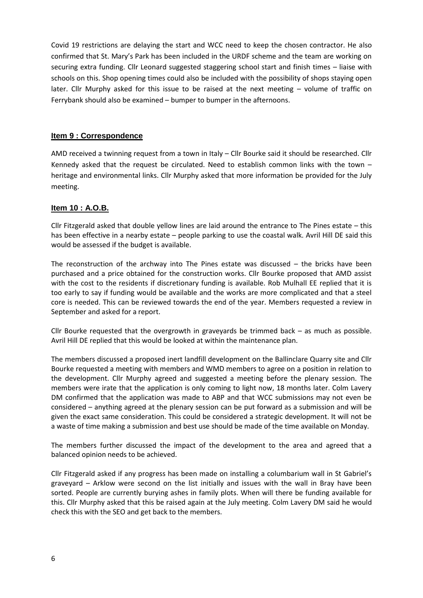Covid 19 restrictions are delaying the start and WCC need to keep the chosen contractor. He also confirmed that St. Mary's Park has been included in the URDF scheme and the team are working on securing extra funding. Cllr Leonard suggested staggering school start and finish times – liaise with schools on this. Shop opening times could also be included with the possibility of shops staying open later. Cllr Murphy asked for this issue to be raised at the next meeting – volume of traffic on Ferrybank should also be examined – bumper to bumper in the afternoons.

# **Item 9 : Correspondence**

AMD received a twinning request from a town in Italy – Cllr Bourke said it should be researched. Cllr Kennedy asked that the request be circulated. Need to establish common links with the town – heritage and environmental links. Cllr Murphy asked that more information be provided for the July meeting.

# **Item 10 : A.O.B.**

Cllr Fitzgerald asked that double yellow lines are laid around the entrance to The Pines estate – this has been effective in a nearby estate – people parking to use the coastal walk. Avril Hill DE said this would be assessed if the budget is available.

The reconstruction of the archway into The Pines estate was discussed – the bricks have been purchased and a price obtained for the construction works. Cllr Bourke proposed that AMD assist with the cost to the residents if discretionary funding is available. Rob Mulhall EE replied that it is too early to say if funding would be available and the works are more complicated and that a steel core is needed. This can be reviewed towards the end of the year. Members requested a review in September and asked for a report.

Cllr Bourke requested that the overgrowth in graveyards be trimmed back – as much as possible. Avril Hill DE replied that this would be looked at within the maintenance plan.

The members discussed a proposed inert landfill development on the Ballinclare Quarry site and Cllr Bourke requested a meeting with members and WMD members to agree on a position in relation to the development. Cllr Murphy agreed and suggested a meeting before the plenary session. The members were irate that the application is only coming to light now, 18 months later. Colm Lavery DM confirmed that the application was made to ABP and that WCC submissions may not even be considered – anything agreed at the plenary session can be put forward as a submission and will be given the exact same consideration. This could be considered a strategic development. It will not be a waste of time making a submission and best use should be made of the time available on Monday.

The members further discussed the impact of the development to the area and agreed that a balanced opinion needs to be achieved.

Cllr Fitzgerald asked if any progress has been made on installing a columbarium wall in St Gabriel's graveyard – Arklow were second on the list initially and issues with the wall in Bray have been sorted. People are currently burying ashes in family plots. When will there be funding available for this. Cllr Murphy asked that this be raised again at the July meeting. Colm Lavery DM said he would check this with the SEO and get back to the members.